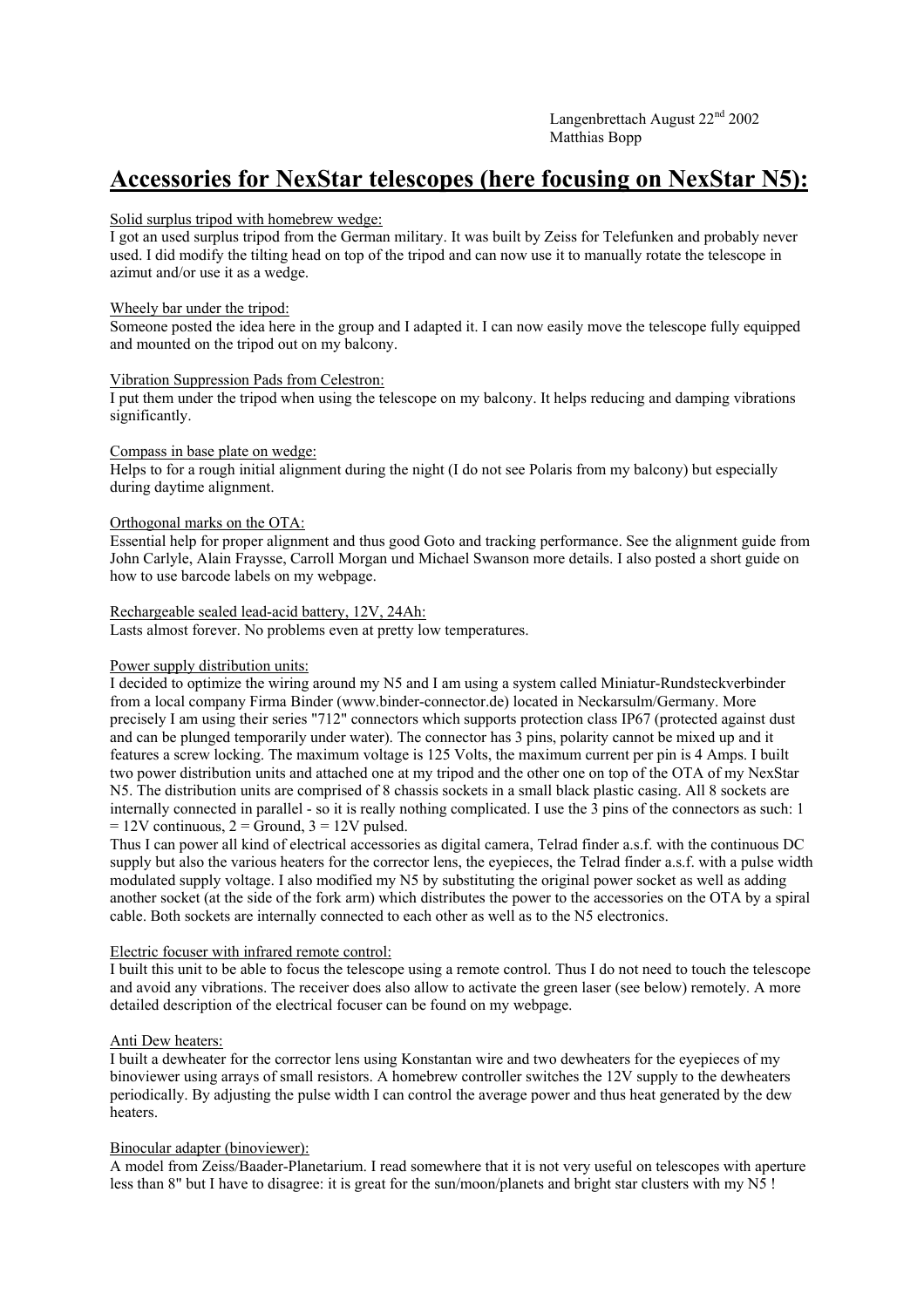Langenbrettach August  $22<sup>nd</sup> 2002$ Matthias Bopp

# **Accessories for NexStar telescopes (here focusing on NexStar N5):**

## Solid surplus tripod with homebrew wedge:

I got an used surplus tripod from the German military. It was built by Zeiss for Telefunken and probably never used. I did modify the tilting head on top of the tripod and can now use it to manually rotate the telescope in azimut and/or use it as a wedge.

#### Wheely bar under the tripod:

Someone posted the idea here in the group and I adapted it. I can now easily move the telescope fully equipped and mounted on the tripod out on my balcony.

#### Vibration Suppression Pads from Celestron:

I put them under the tripod when using the telescope on my balcony. It helps reducing and damping vibrations significantly.

#### Compass in base plate on wedge:

Helps to for a rough initial alignment during the night (I do not see Polaris from my balcony) but especially during daytime alignment.

## Orthogonal marks on the OTA:

Essential help for proper alignment and thus good Goto and tracking performance. See the alignment guide from John Carlyle, Alain Fraysse, Carroll Morgan und Michael Swanson more details. I also posted a short guide on how to use barcode labels on my webpage.

#### Rechargeable sealed lead-acid battery, 12V, 24Ah:

Lasts almost forever. No problems even at pretty low temperatures.

## Power supply distribution units:

I decided to optimize the wiring around my N5 and I am using a system called Miniatur-Rundsteckverbinder from a local company Firma Binder (www.binder-connector.de) located in Neckarsulm/Germany. More precisely I am using their series "712" connectors which supports protection class IP67 (protected against dust and can be plunged temporarily under water). The connector has 3 pins, polarity cannot be mixed up and it features a screw locking. The maximum voltage is 125 Volts, the maximum current per pin is 4 Amps. I built two power distribution units and attached one at my tripod and the other one on top of the OTA of my NexStar N5. The distribution units are comprised of 8 chassis sockets in a small black plastic casing. All 8 sockets are internally connected in parallel - so it is really nothing complicated. I use the 3 pins of the connectors as such: 1  $= 12V$  continuous,  $2 =$  Ground,  $3 = 12V$  pulsed.

Thus I can power all kind of electrical accessories as digital camera, Telrad finder a.s.f. with the continuous DC supply but also the various heaters for the corrector lens, the eyepieces, the Telrad finder a.s.f. with a pulse width modulated supply voltage. I also modified my N5 by substituting the original power socket as well as adding another socket (at the side of the fork arm) which distributes the power to the accessories on the OTA by a spiral cable. Both sockets are internally connected to each other as well as to the N5 electronics.

## Electric focuser with infrared remote control:

I built this unit to be able to focus the telescope using a remote control. Thus I do not need to touch the telescope and avoid any vibrations. The receiver does also allow to activate the green laser (see below) remotely. A more detailed description of the electrical focuser can be found on my webpage.

## Anti Dew heaters:

I built a dewheater for the corrector lens using Konstantan wire and two dewheaters for the eyepieces of my binoviewer using arrays of small resistors. A homebrew controller switches the 12V supply to the dewheaters periodically. By adjusting the pulse width I can control the average power and thus heat generated by the dew heaters.

## Binocular adapter (binoviewer):

A model from Zeiss/Baader-Planetarium. I read somewhere that it is not very useful on telescopes with aperture less than 8" but I have to disagree: it is great for the sun/moon/planets and bright star clusters with my N5 !